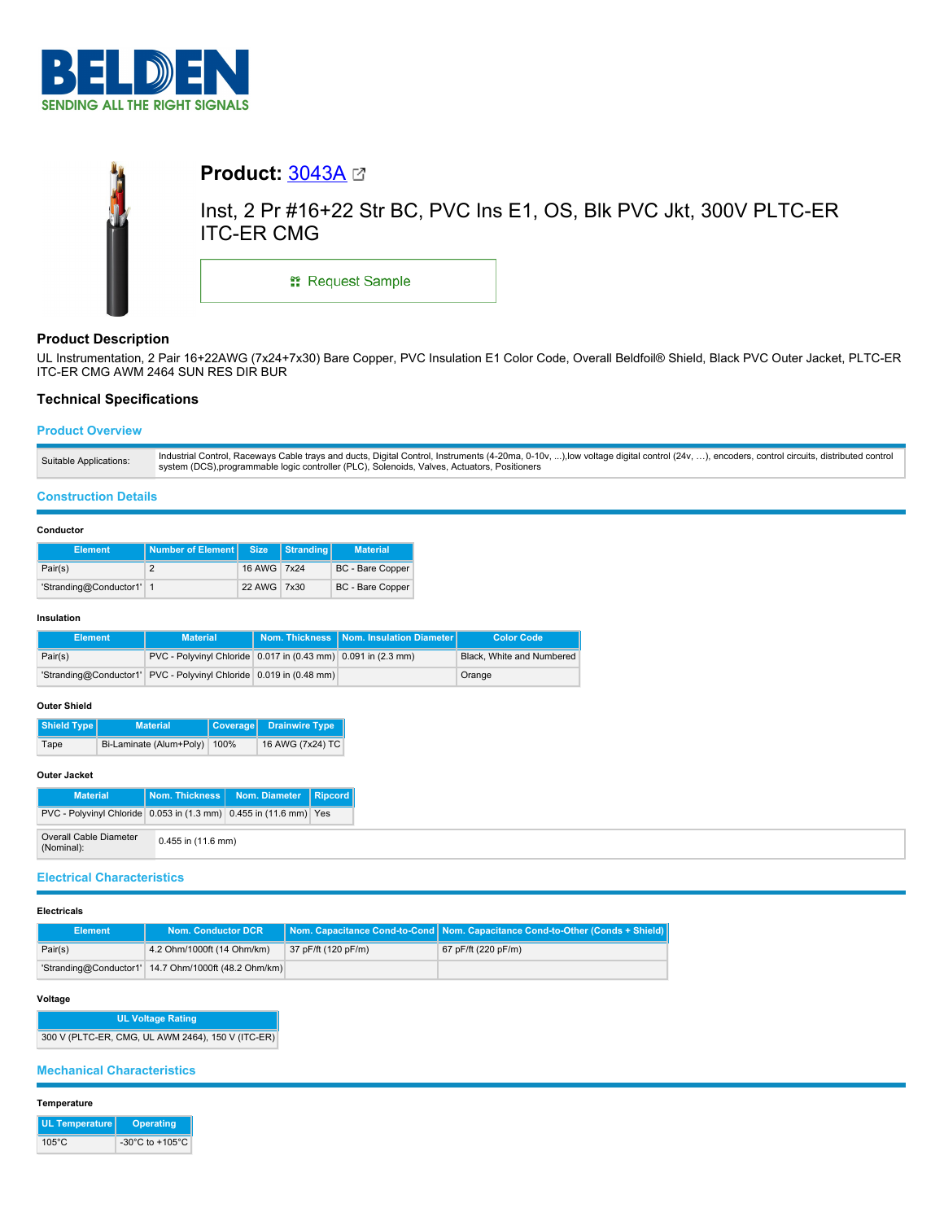



# **Product Description**

UL Instrumentation, 2 Pair 16+22AWG (7x24+7x30) Bare Copper, PVC Insulation E1 Color Code, Overall Beldfoil® Shield, Black PVC Outer Jacket, PLTC-ER ITC-ER CMG AWM 2464 SUN RES DIR BUR

## **Technical Specifications**

## **Product Overview**

| Industrial Control, Raceways Cable trays and ducts, Digital Control, Instruments (4-20ma, 0-10v, ),low voltage digital control (24v, ), encoders, control circuits, distributed control<br>Suitable Applications:<br>system (DCS), programmable logic controller (PLC), Solenoids, Valves, Actuators, Positioners |
|-------------------------------------------------------------------------------------------------------------------------------------------------------------------------------------------------------------------------------------------------------------------------------------------------------------------|
|-------------------------------------------------------------------------------------------------------------------------------------------------------------------------------------------------------------------------------------------------------------------------------------------------------------------|

### **Construction Details**

### **Conductor**

| <b>Element</b>           | Number of Element Size |             | Stranding | <b>Material</b>         |
|--------------------------|------------------------|-------------|-----------|-------------------------|
| Pair(s)                  |                        | 16 AWG 7x24 |           | <b>BC</b> - Bare Copper |
| 'Stranding@Conductor1' 1 |                        | 22 AWG 7x30 |           | <b>BC</b> - Bare Copper |

#### **Insulation**

| <b>Element</b> | <b>Material</b>                                                    | Nom. Thickness   Nom. Insulation Diameter | <b>Color Code</b>         |
|----------------|--------------------------------------------------------------------|-------------------------------------------|---------------------------|
| Pair(s)        | PVC - Polyvinyl Chloride 0.017 in (0.43 mm) 0.091 in (2.3 mm)      |                                           | Black. White and Numbered |
|                | 'Stranding@Conductor1' PVC - Polyvinyl Chloride 0.019 in (0.48 mm) |                                           | Orange                    |

### **Outer Shield**

| Shield Type | <b>Material</b>              | Coverage Drainwire Type |
|-------------|------------------------------|-------------------------|
| Tape        | Bi-Laminate (Alum+Poly) 100% | 16 AWG (7x24) TC        |

## **Outer Jacket**

| <b>Material</b>                                                   |                        | Nom. Thickness   Nom. Diameter   Ripcord |  |
|-------------------------------------------------------------------|------------------------|------------------------------------------|--|
| PVC - Polyvinyl Chloride 0.053 in (1.3 mm) 0.455 in (11.6 mm) Yes |                        |                                          |  |
| Overall Cable Diameter<br>(Nominal):                              | $0.455$ in $(11.6$ mm) |                                          |  |

## **Electrical Characteristics**

#### **Electricals**

| Element | Nom. Conductor DCR                                   |                     | Nom. Capacitance Cond-to-Cond   Nom. Capacitance Cond-to-Other (Conds + Shield) |
|---------|------------------------------------------------------|---------------------|---------------------------------------------------------------------------------|
| Pair(s) | 4.2 Ohm/1000ft (14 Ohm/km)                           | 37 pF/ft (120 pF/m) | 67 pF/ft (220 pF/m)                                                             |
|         | 'Stranding@Conductor1' 14.7 Ohm/1000ft (48.2 Ohm/km) |                     |                                                                                 |

### **Voltage**

**UL Voltage Rating** 300 V (PLTC-ER, CMG, UL AWM 2464), 150 V (ITC-ER)

## **Mechanical Characteristics**

### **Temperature**

| <b>UL Temperature</b> | <b>Operating</b>                      |
|-----------------------|---------------------------------------|
| $105^{\circ}$ C       | -30 $^{\circ}$ C to +105 $^{\circ}$ C |